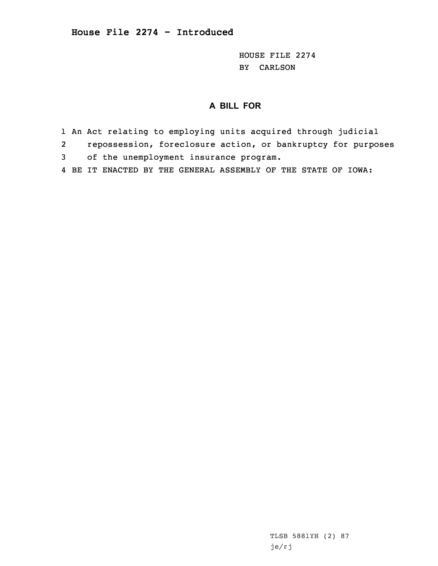HOUSE FILE 2274 BY CARLSON

## **A BILL FOR**

- 1 An Act relating to employing units acquired through judicial
- 2repossession, foreclosure action, or bankruptcy for purposes
- 3 of the unemployment insurance program.
- 4 BE IT ENACTED BY THE GENERAL ASSEMBLY OF THE STATE OF IOWA:

TLSB 5881YH (2) 87 je/rj